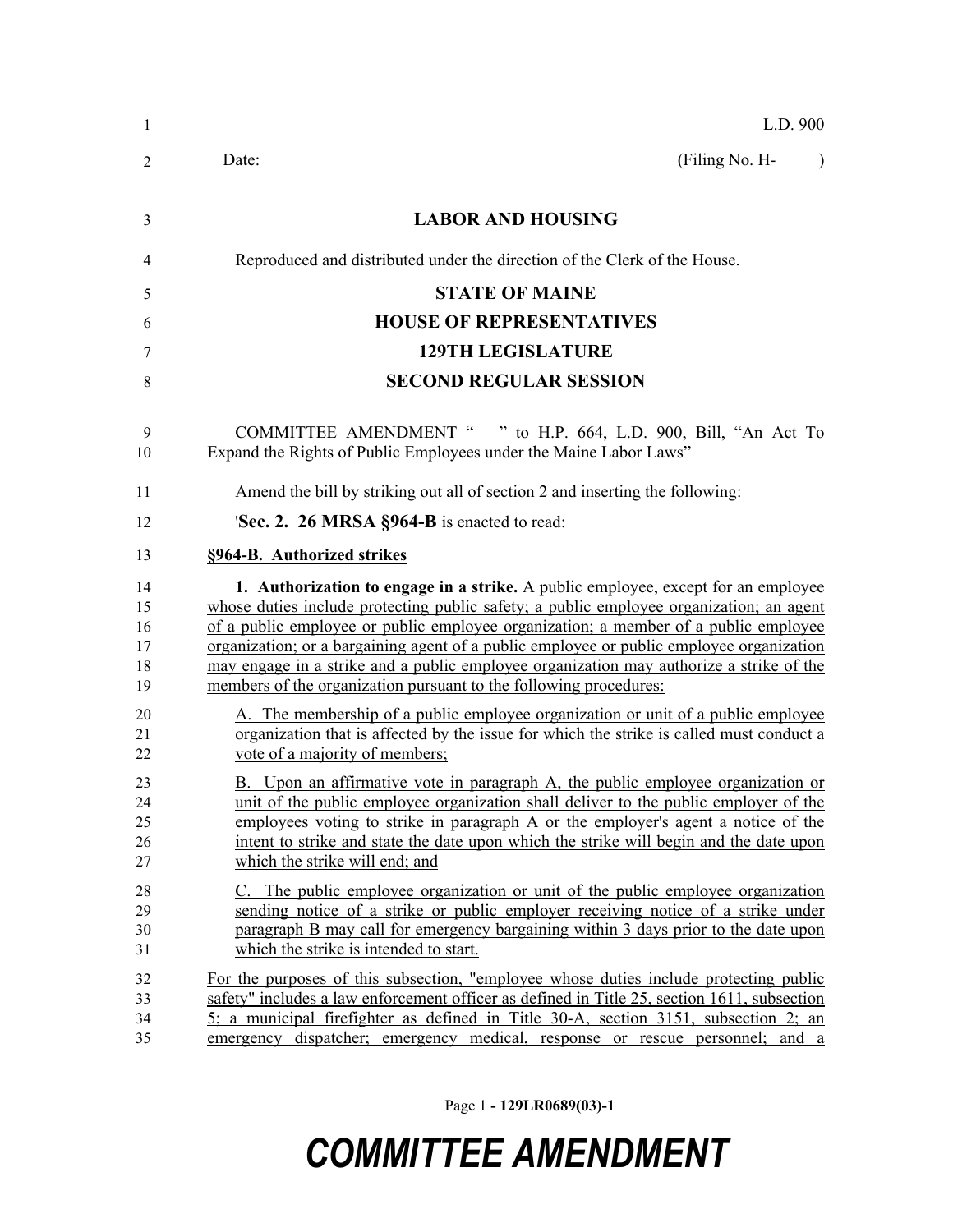| 1                                | L.D. 900                                                                                                                                                                                                                                                                                                                                                                                                                                                                                                                        |
|----------------------------------|---------------------------------------------------------------------------------------------------------------------------------------------------------------------------------------------------------------------------------------------------------------------------------------------------------------------------------------------------------------------------------------------------------------------------------------------------------------------------------------------------------------------------------|
| 2                                | (Filing No. H-<br>Date:<br>$\lambda$                                                                                                                                                                                                                                                                                                                                                                                                                                                                                            |
| 3                                | <b>LABOR AND HOUSING</b>                                                                                                                                                                                                                                                                                                                                                                                                                                                                                                        |
| 4                                | Reproduced and distributed under the direction of the Clerk of the House.                                                                                                                                                                                                                                                                                                                                                                                                                                                       |
| 5                                | <b>STATE OF MAINE</b>                                                                                                                                                                                                                                                                                                                                                                                                                                                                                                           |
| 6                                | <b>HOUSE OF REPRESENTATIVES</b>                                                                                                                                                                                                                                                                                                                                                                                                                                                                                                 |
| 7                                | <b>129TH LEGISLATURE</b>                                                                                                                                                                                                                                                                                                                                                                                                                                                                                                        |
| 8                                | <b>SECOND REGULAR SESSION</b>                                                                                                                                                                                                                                                                                                                                                                                                                                                                                                   |
| 9<br>10                          | COMMITTEE AMENDMENT " " to H.P. 664, L.D. 900, Bill, "An Act To<br>Expand the Rights of Public Employees under the Maine Labor Laws"                                                                                                                                                                                                                                                                                                                                                                                            |
| 11                               | Amend the bill by striking out all of section 2 and inserting the following:                                                                                                                                                                                                                                                                                                                                                                                                                                                    |
| 12                               | 'Sec. 2. 26 MRSA §964-B is enacted to read:                                                                                                                                                                                                                                                                                                                                                                                                                                                                                     |
| 13                               | §964-B. Authorized strikes                                                                                                                                                                                                                                                                                                                                                                                                                                                                                                      |
| 14<br>15<br>16<br>17<br>18<br>19 | 1. Authorization to engage in a strike. A public employee, except for an employee<br>whose duties include protecting public safety; a public employee organization; an agent<br>of a public employee or public employee organization; a member of a public employee<br>organization; or a bargaining agent of a public employee or public employee organization<br>may engage in a strike and a public employee organization may authorize a strike of the<br>members of the organization pursuant to the following procedures: |
| 20<br>21<br>22                   | A. The membership of a public employee organization or unit of a public employee<br>organization that is affected by the issue for which the strike is called must conduct a<br>vote of a majority of members;                                                                                                                                                                                                                                                                                                                  |
| 23<br>24<br>25<br>26<br>27       | B. Upon an affirmative vote in paragraph A, the public employee organization or<br>unit of the public employee organization shall deliver to the public employer of the<br>employees voting to strike in paragraph A or the employer's agent a notice of the<br>intent to strike and state the date upon which the strike will begin and the date upon<br>which the strike will end; and                                                                                                                                        |
| 28<br>29<br>30<br>31             | C. The public employee organization or unit of the public employee organization<br>sending notice of a strike or public employer receiving notice of a strike under<br>paragraph B may call for emergency bargaining within 3 days prior to the date upon<br>which the strike is intended to start.                                                                                                                                                                                                                             |
| 32<br>33<br>34<br>35             | For the purposes of this subsection, "employee whose duties include protecting public<br>safety" includes a law enforcement officer as defined in Title 25, section 1611, subsection<br>$5$ ; a municipal firefighter as defined in Title 30-A, section 3151, subsection 2; an<br>emergency dispatcher; emergency medical, response or rescue personnel; and a                                                                                                                                                                  |

Page 1 **- 129LR0689(03)-1**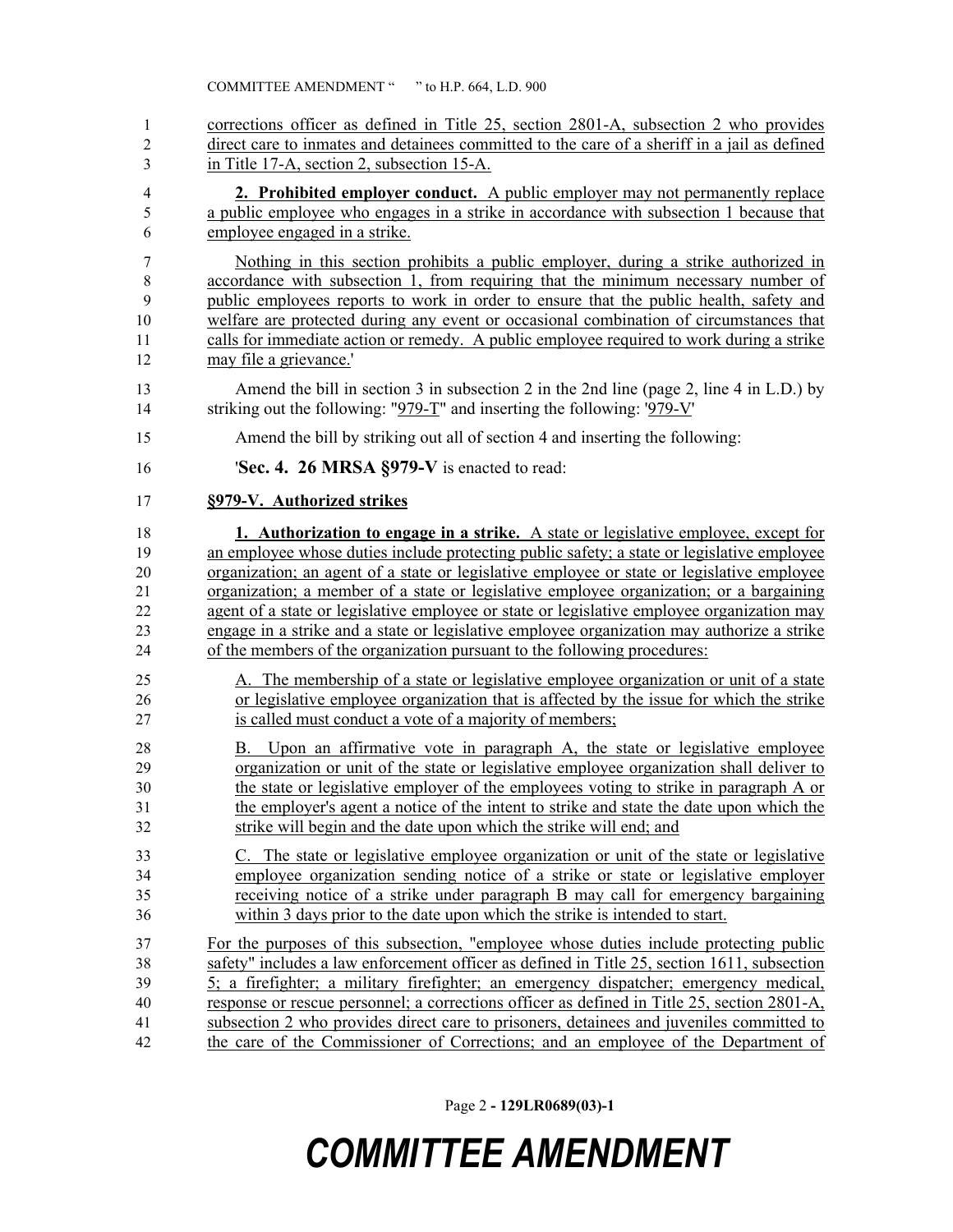corrections officer as defined in Title 25, section 2801-A, subsection 2 who provides direct care to inmates and detainees committed to the care of a sheriff in a jail as defined in Title 17-A, section 2, subsection 15-A.

 **2. Prohibited employer conduct.** A public employer may not permanently replace a public employee who engages in a strike in accordance with subsection 1 because that employee engaged in a strike.

 Nothing in this section prohibits a public employer, during a strike authorized in accordance with subsection 1, from requiring that the minimum necessary number of public employees reports to work in order to ensure that the public health, safety and 10 welfare are protected during any event or occasional combination of circumstances that calls for immediate action or remedy. A public employee required to work during a strike may file a grievance.'

- Amend the bill in section 3 in subsection 2 in the 2nd line (page 2, line 4 in L.D.) by 14 striking out the following: "979-T" and inserting the following: '979-V'
- Amend the bill by striking out all of section 4 and inserting the following:
- '**Sec. 4. 26 MRSA §979-V** is enacted to read:

### **§979-V. Authorized strikes**

 **1. Authorization to engage in a strike.** A state or legislative employee, except for 19 an employee whose duties include protecting public safety; a state or legislative employee organization; an agent of a state or legislative employee or state or legislative employee organization; a member of a state or legislative employee organization; or a bargaining agent of a state or legislative employee or state or legislative employee organization may engage in a strike and a state or legislative employee organization may authorize a strike of the members of the organization pursuant to the following procedures:

- A. The membership of a state or legislative employee organization or unit of a state or legislative employee organization that is affected by the issue for which the strike is called must conduct a vote of a majority of members;
- B. Upon an affirmative vote in paragraph A, the state or legislative employee organization or unit of the state or legislative employee organization shall deliver to the state or legislative employer of the employees voting to strike in paragraph A or the employer's agent a notice of the intent to strike and state the date upon which the strike will begin and the date upon which the strike will end; and
- C. The state or legislative employee organization or unit of the state or legislative employee organization sending notice of a strike or state or legislative employer receiving notice of a strike under paragraph B may call for emergency bargaining within 3 days prior to the date upon which the strike is intended to start.

 For the purposes of this subsection, "employee whose duties include protecting public safety" includes a law enforcement officer as defined in Title 25, section 1611, subsection 5; a firefighter; a military firefighter; an emergency dispatcher; emergency medical, response or rescue personnel; a corrections officer as defined in Title 25, section 2801-A, subsection 2 who provides direct care to prisoners, detainees and juveniles committed to the care of the Commissioner of Corrections; and an employee of the Department of

Page 2 **- 129LR0689(03)-1**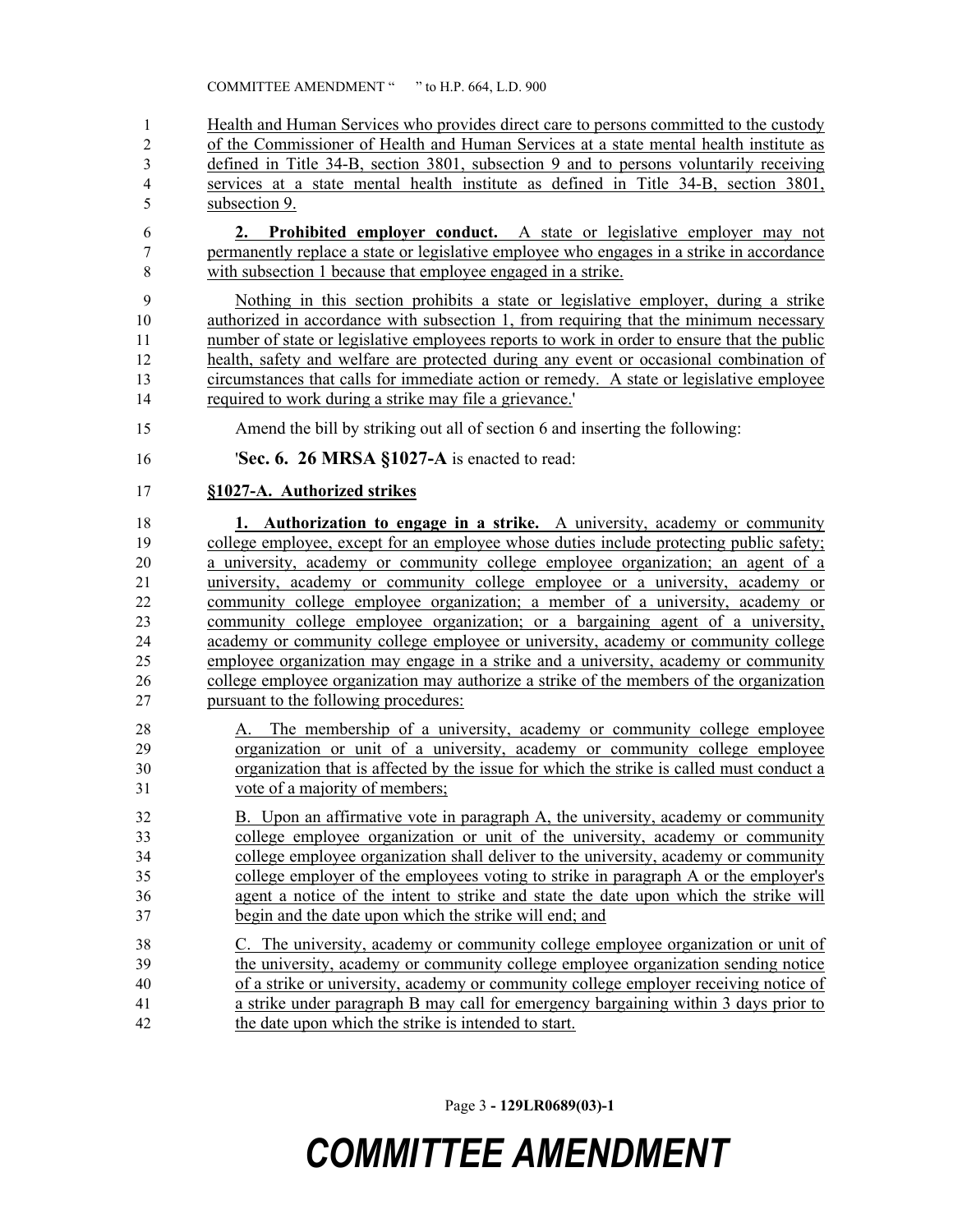Health and Human Services who provides direct care to persons committed to the custody 2 of the Commissioner of Health and Human Services at a state mental health institute as defined in Title 34-B, section 3801, subsection 9 and to persons voluntarily receiving services at a state mental health institute as defined in Title 34-B, section 3801, subsection 9.

 **2. Prohibited employer conduct.** A state or legislative employer may not permanently replace a state or legislative employee who engages in a strike in accordance with subsection 1 because that employee engaged in a strike.

 Nothing in this section prohibits a state or legislative employer, during a strike 10 authorized in accordance with subsection 1, from requiring that the minimum necessary number of state or legislative employees reports to work in order to ensure that the public health, safety and welfare are protected during any event or occasional combination of circumstances that calls for immediate action or remedy. A state or legislative employee required to work during a strike may file a grievance.'

- Amend the bill by striking out all of section 6 and inserting the following:
- '**Sec. 6. 26 MRSA §1027-A** is enacted to read:

### **§1027-A. Authorized strikes**

 **1. Authorization to engage in a strike.** A university, academy or community college employee, except for an employee whose duties include protecting public safety; a university, academy or community college employee organization; an agent of a university, academy or community college employee or a university, academy or community college employee organization; a member of a university, academy or community college employee organization; or a bargaining agent of a university, academy or community college employee or university, academy or community college employee organization may engage in a strike and a university, academy or community college employee organization may authorize a strike of the members of the organization pursuant to the following procedures:

- A. The membership of a university, academy or community college employee organization or unit of a university, academy or community college employee organization that is affected by the issue for which the strike is called must conduct a vote of a majority of members;
- B. Upon an affirmative vote in paragraph A, the university, academy or community college employee organization or unit of the university, academy or community college employee organization shall deliver to the university, academy or community college employer of the employees voting to strike in paragraph A or the employer's agent a notice of the intent to strike and state the date upon which the strike will begin and the date upon which the strike will end; and
- C. The university, academy or community college employee organization or unit of the university, academy or community college employee organization sending notice of a strike or university, academy or community college employer receiving notice of a strike under paragraph B may call for emergency bargaining within 3 days prior to the date upon which the strike is intended to start.

Page 3 **- 129LR0689(03)-1**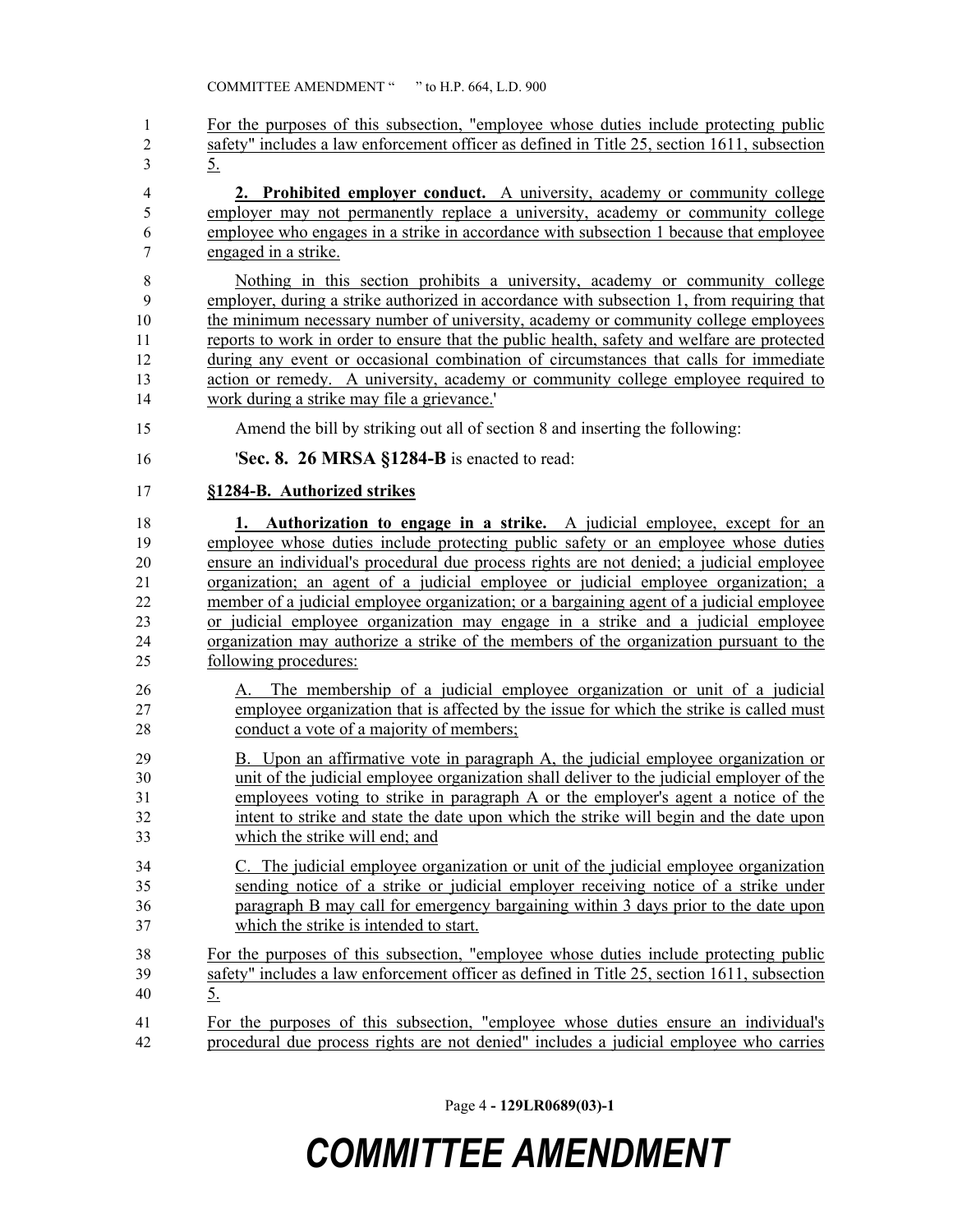For the purposes of this subsection, "employee whose duties include protecting public safety" includes a law enforcement officer as defined in Title 25, section 1611, subsection 5.

 **2. Prohibited employer conduct.** A university, academy or community college employer may not permanently replace a university, academy or community college employee who engages in a strike in accordance with subsection 1 because that employee engaged in a strike.

 Nothing in this section prohibits a university, academy or community college employer, during a strike authorized in accordance with subsection 1, from requiring that the minimum necessary number of university, academy or community college employees reports to work in order to ensure that the public health, safety and welfare are protected during any event or occasional combination of circumstances that calls for immediate action or remedy. A university, academy or community college employee required to work during a strike may file a grievance.'

- Amend the bill by striking out all of section 8 and inserting the following:
- '**Sec. 8. 26 MRSA §1284-B** is enacted to read:

### **§1284-B. Authorized strikes**

 **1. Authorization to engage in a strike.** A judicial employee, except for an employee whose duties include protecting public safety or an employee whose duties ensure an individual's procedural due process rights are not denied; a judicial employee organization; an agent of a judicial employee or judicial employee organization; a member of a judicial employee organization; or a bargaining agent of a judicial employee or judicial employee organization may engage in a strike and a judicial employee organization may authorize a strike of the members of the organization pursuant to the following procedures:

 A. The membership of a judicial employee organization or unit of a judicial employee organization that is affected by the issue for which the strike is called must conduct a vote of a majority of members;

 B. Upon an affirmative vote in paragraph A, the judicial employee organization or unit of the judicial employee organization shall deliver to the judicial employer of the employees voting to strike in paragraph A or the employer's agent a notice of the intent to strike and state the date upon which the strike will begin and the date upon which the strike will end; and

- C. The judicial employee organization or unit of the judicial employee organization sending notice of a strike or judicial employer receiving notice of a strike under paragraph B may call for emergency bargaining within 3 days prior to the date upon which the strike is intended to start.
- For the purposes of this subsection, "employee whose duties include protecting public safety" includes a law enforcement officer as defined in Title 25, section 1611, subsection 5.
- For the purposes of this subsection, "employee whose duties ensure an individual's procedural due process rights are not denied" includes a judicial employee who carries

Page 4 **- 129LR0689(03)-1**